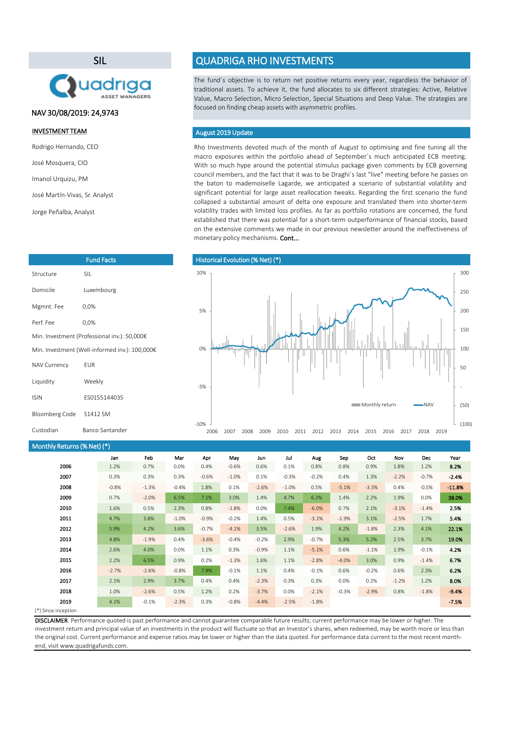Rho Investments devoted much of the month of August to optimising and fine tuning all the macro exposures within the portfolio ahead of September´s much anticipated ECB meeting. With so much hype around the potential stimulus package given comments by ECB governing council members, and the fact that it was to be Draghi´s last "live" meeting before he passes on the baton to mademoiselle Lagarde, we anticipated a scenario of substantial volatility and significant potential for large asset reallocation tweaks. Regarding the first scenario the fund collapsed a substantial amount of delta one exposure and translated them into shorter-term volatility trades with limited loss profiles. As far as portfolio rotations are concerned, the fund established that there was potential for a short-term outperformance of financial stocks, based on the extensive comments we made in our previous newsletter around the ineffectiveness of monetary policy mechanisms. Cont...

(\*) Since inception

| Monthly Returns (% Net) (*) |         |         |         |         |         |         |         |         |         |         |         |         |          |
|-----------------------------|---------|---------|---------|---------|---------|---------|---------|---------|---------|---------|---------|---------|----------|
|                             | Jan     | Feb     | Mar     | Apr     | May     | Jun     | Jul     | Aug     | Sep     | Oct     | Nov     | Dec     | Year     |
| 2006                        | 1.2%    | 0.7%    | 0.0%    | 0.4%    | $-0.6%$ | 0.6%    | 0.1%    | 0.8%    | 0.8%    | 0.9%    | 1.8%    | 1.2%    | 8.2%     |
| 2007                        | 0.3%    | 0.3%    | 0.3%    | $-0.6%$ | $-1.0%$ | 0.1%    | $-0.3%$ | $-0.2%$ | 0.4%    | 1.3%    | $-2.2%$ | $-0.7%$ | $-2.4%$  |
| 2008                        | $-0.8%$ | $-1.3%$ | $-0.4%$ | 1.8%    | 0.1%    | $-2.6%$ | $-1.0%$ | 0.5%    | $-5.1%$ | $-3.3%$ | 0.4%    | $-0.5%$ | $-11.8%$ |
| 2009                        | 0.7%    | $-2.0%$ | 6.5%    | 7.1%    | 3.0%    | 1.4%    | 4.7%    | 6.2%    | 1.4%    | 2.2%    | 1.9%    | 0.0%    | 38.0%    |
| 2010                        | 1.6%    | 0.5%    | 2.3%    | 0.8%    | $-1.8%$ | 0.0%    | 7.4%    | $-6.0%$ | 0.7%    | 2.1%    | $-3.1%$ | $-1.4%$ | 2.5%     |
| 2011                        | 4.7%    | 3.8%    | $-1.0%$ | $-0.9%$ | $-0.2%$ | 1.4%    | 0.5%    | $-3.1%$ | $-1.9%$ | 3.1%    | $-2.5%$ | 1.7%    | 5.4%     |
| 2012                        | 5.9%    | 4.2%    | 3.6%    | $-0.7%$ | $-4.1%$ | 3.5%    | $-2.6%$ | 1.9%    | 4.2%    | $-1.8%$ | 2.3%    | 4.1%    | 22.1%    |
| 2013                        | 4.8%    | $-1.9%$ | 0.4%    | $-3.6%$ | $-0.4%$ | $-0.2%$ | 2.9%    | $-0.7%$ | 5.3%    | 5.2%    | 2.5%    | 3.7%    | 19.0%    |
| 2014                        | 2.6%    | 4.0%    | 0.0%    | 1.1%    | 0.3%    | $-0.9%$ | 1.1%    | $-5.1%$ | 0.6%    | $-1.1%$ | 1.9%    | $-0.1%$ | 4.2%     |
| 2015                        | 2.2%    | 6.5%    | 0.9%    | 0.2%    | $-1.3%$ | 1.6%    | 1.1%    | $-2.8%$ | $-4.0%$ | 3.0%    | 0.9%    | $-1.4%$ | 6.7%     |
| 2016                        | $-2.7%$ | $-2.6%$ | $-0.8%$ | 7.9%    | $-0.1%$ | 1.1%    | 0.4%    | $-0.1%$ | 0.6%    | $-0.2%$ | 0.6%    | 2.3%    | 6.2%     |
| 2017                        | 2.1%    | 2.9%    | 3.7%    | 0.4%    | 0.4%    | $-2.3%$ | 0.3%    | 0.3%    | 0.0%    | 0.2%    | $-1.2%$ | 1.2%    | 8.0%     |
| 2018                        | 1.0%    | $-2.6%$ | 0.5%    | 1.2%    | 0.2%    | $-3.7%$ | 0.0%    | $-2.1%$ | $-0.3%$ | $-2.9%$ | 0.8%    | $-1.8%$ | $-9.4%$  |
| 2019                        | 4.1%    | $-0.1%$ | $-2.3%$ | 0.3%    | $-0.8%$ | $-4.4%$ | $-2.5%$ | $-1.8%$ |         |         |         |         | $-7.5%$  |
| $(*)$ Since incention       |         |         |         |         |         |         |         |         |         |         |         |         |          |

The fund´s objective is to return net positive returns every year, regardless the behavior of traditional assets. To achieve it, the fund allocates to six different strategies: Active, Relative Value, Macro Selection, Micro Selection, Special Situations and Deep Value. The strategies are focused on finding cheap assets with asymmetric profiles.

DISCLAIMER. Performance quoted is past performance and cannot guarantee comparable future results; current performance may be lower or higher. The investment return and principal value of an investments in the product will fluctuate so that an Investor's shares, when redeemed, may be worth more or less than the original cost. Current performance and expense ratios may be lower or higher than the data quoted. For performance data current to the most recent monthend, visit www.quadrigafunds.com.

### INVESTMENT TEAM

Rodrigo Hernando, CEO

José Mosquera, CIO

Imanol Urquizu, PM

José Martín-Vivas, Sr. Analyst

Jorge Peñalba, Analyst

## SIL



# QUADRIGA RHO INVESTMENTS

|                                              | <b>Fund Facts</b>                              |  |  |  |
|----------------------------------------------|------------------------------------------------|--|--|--|
| Structure                                    | <b>SIL</b>                                     |  |  |  |
| Domicile                                     | Luxembourg                                     |  |  |  |
| Mgmnt. Fee                                   | $0,0\%$                                        |  |  |  |
| Perf. Fee                                    | 0,0%                                           |  |  |  |
| Min. Investment (Professional inv.): 50,000€ |                                                |  |  |  |
|                                              | Min. Investment (Well-informed inv.): 100,000€ |  |  |  |
| <b>NAV Currency</b>                          | <b>EUR</b>                                     |  |  |  |
| Liquidity                                    | Weekly                                         |  |  |  |
| <b>ISIN</b>                                  | ES0155144035                                   |  |  |  |
| Bloomberg Code                               | S1412 SM                                       |  |  |  |

### August 2019 Update

### NAV 30/08/2019: 24,9743



| Custodian | Banco Sant |
|-----------|------------|
|           |            |

itander

-10%

2006 2007 2008 2009 2010 2011 2012 2013 2014 2015 2016 2017 2018 2019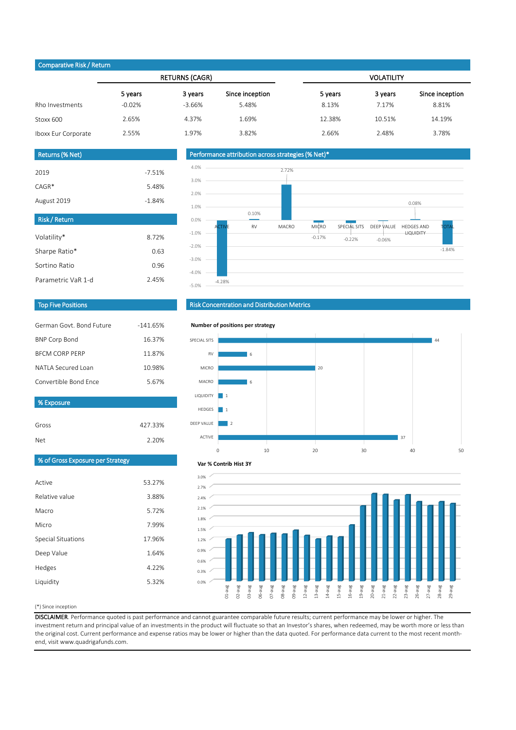#### (\*) Since inception

| Active                    | 53.27% |
|---------------------------|--------|
| Relative value            | 3.88%  |
| Macro                     | 5.72%  |
| Micro                     | 7.99%  |
| <b>Special Situations</b> | 17.96% |
| Deep Value                | 1.64%  |
| Hedges                    | 4.22%  |
| Liquidity                 | 5.32%  |
|                           |        |

DISCLAIMER. Performance quoted is past performance and cannot guarantee comparable future results; current performance may be lower or higher. The investment return and principal value of an investments in the product will fluctuate so that an Investor's shares, when redeemed, may be worth more or less than the original cost. Current performance and expense ratios may be lower or higher than the data quoted. For performance data current to the most recent monthend, visit www.quadrigafunds.com.

| Gross | 427.33% |
|-------|---------|
| Net   | 2.20%   |

| $\sim$ point with $\sim$ $\sim$ $\sim$ |          |                       |                 |                   |         |                 |  |  |
|----------------------------------------|----------|-----------------------|-----------------|-------------------|---------|-----------------|--|--|
|                                        |          | <b>RETURNS (CAGR)</b> |                 | <b>VOLATILITY</b> |         |                 |  |  |
|                                        | 5 years  | 3 years               | Since inception | 5 years           | 3 years | Since inception |  |  |
| Rho Investments                        | $-0.02%$ | $-3.66%$              | 5.48%           | 8.13%             | 7.17%   | 8.81%           |  |  |
| Stoxx 600                              | 2.65%    | 4.37%                 | 1.69%           | 12.38%            | 10.51%  | 14.19%          |  |  |
| Iboxx Eur Corporate                    | 2.55%    | 1.97%                 | 3.82%           | 2.66%             | 2.48%   | 3.78%           |  |  |

| German Govt, Bond Future | $-141.65%$ |
|--------------------------|------------|
| <b>BNP Corp Bond</b>     | 16.37%     |
| <b>BECM CORP PERP</b>    | 11.87%     |
| NATI A Secured Loan      | 10.98%     |
| Convertible Bond Ence    | 5.67%      |

| <b>Risk/Return</b> |       |
|--------------------|-------|
| Volatility*        | 8.72% |
| Sharpe Ratio*      | 0.63  |
| Sortino Ratio      | 0.96  |
| Parametric VaR 1-d | 2.45% |

| Returns (% Net) |          |
|-----------------|----------|
| 2019            | $-7.51%$ |
| $CAGR*$         | 5.48%    |
| August 2019     | $-1.84%$ |

### Top Five Positions



### Risk Concentration and Distribution Metrics

### Performance attribution across strategies (% Net)\*

### Comparative Risk / Return

% Exposure





#### **Number of positions per strategy**



#### **Var % Contrib Hist 3Y**